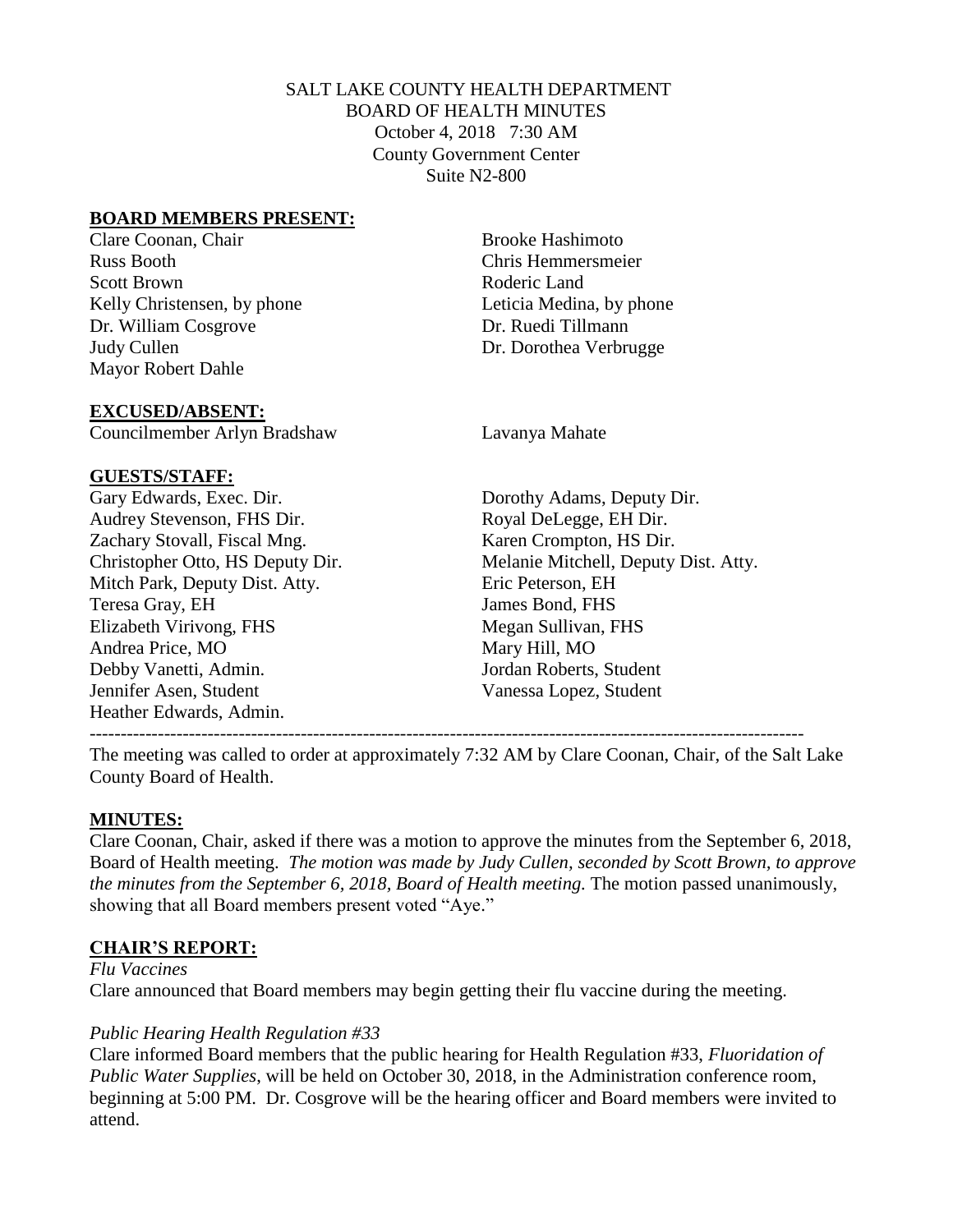## SALT LAKE COUNTY HEALTH DEPARTMENT BOARD OF HEALTH MINUTES October 4, 2018 7:30 AM County Government Center Suite N2-800

### **BOARD MEMBERS PRESENT:**

Clare Coonan, Chair **Brooke Hashimoto** Russ Booth Chris Hemmersmeier Scott Brown Roderic Land Kelly Christensen, by phone Leticia Medina, by phone Dr. William Cosgrove Dr. Ruedi Tillmann Judy Cullen Dr. Dorothea Verbrugge Mayor Robert Dahle

#### **EXCUSED/ABSENT:**

Councilmember Arlyn Bradshaw Lavanya Mahate

#### **GUESTS/STAFF:**

Audrey Stevenson, FHS Dir. Royal DeLegge, EH Dir. Zachary Stovall, Fiscal Mng. (Karen Crompton, HS Dir.) Mitch Park, Deputy Dist. Atty. Eric Peterson, EH Teresa Gray, EH James Bond, FHS Elizabeth Virivong, FHS Megan Sullivan, FHS Andrea Price, MO Mary Hill, MO Debby Vanetti, Admin. Jordan Roberts, Student Jennifer Asen, Student Vanessa Lopez, Student Heather Edwards, Admin.

Gary Edwards, Exec. Dir. Dorothy Adams, Deputy Dir. Christopher Otto, HS Deputy Dir. Melanie Mitchell, Deputy Dist. Atty.

The meeting was called to order at approximately 7:32 AM by Clare Coonan, Chair, of the Salt Lake County Board of Health.

## **MINUTES:**

Clare Coonan, Chair, asked if there was a motion to approve the minutes from the September 6, 2018, Board of Health meeting. *The motion was made by Judy Cullen, seconded by Scott Brown, to approve the minutes from the September 6, 2018, Board of Health meeting.* The motion passed unanimously, showing that all Board members present voted "Aye."

## **CHAIR'S REPORT:**

*Flu Vaccines* Clare announced that Board members may begin getting their flu vaccine during the meeting.

## *Public Hearing Health Regulation #33*

Clare informed Board members that the public hearing for Health Regulation #33, *Fluoridation of Public Water Supplies*, will be held on October 30, 2018, in the Administration conference room, beginning at 5:00 PM. Dr. Cosgrove will be the hearing officer and Board members were invited to attend.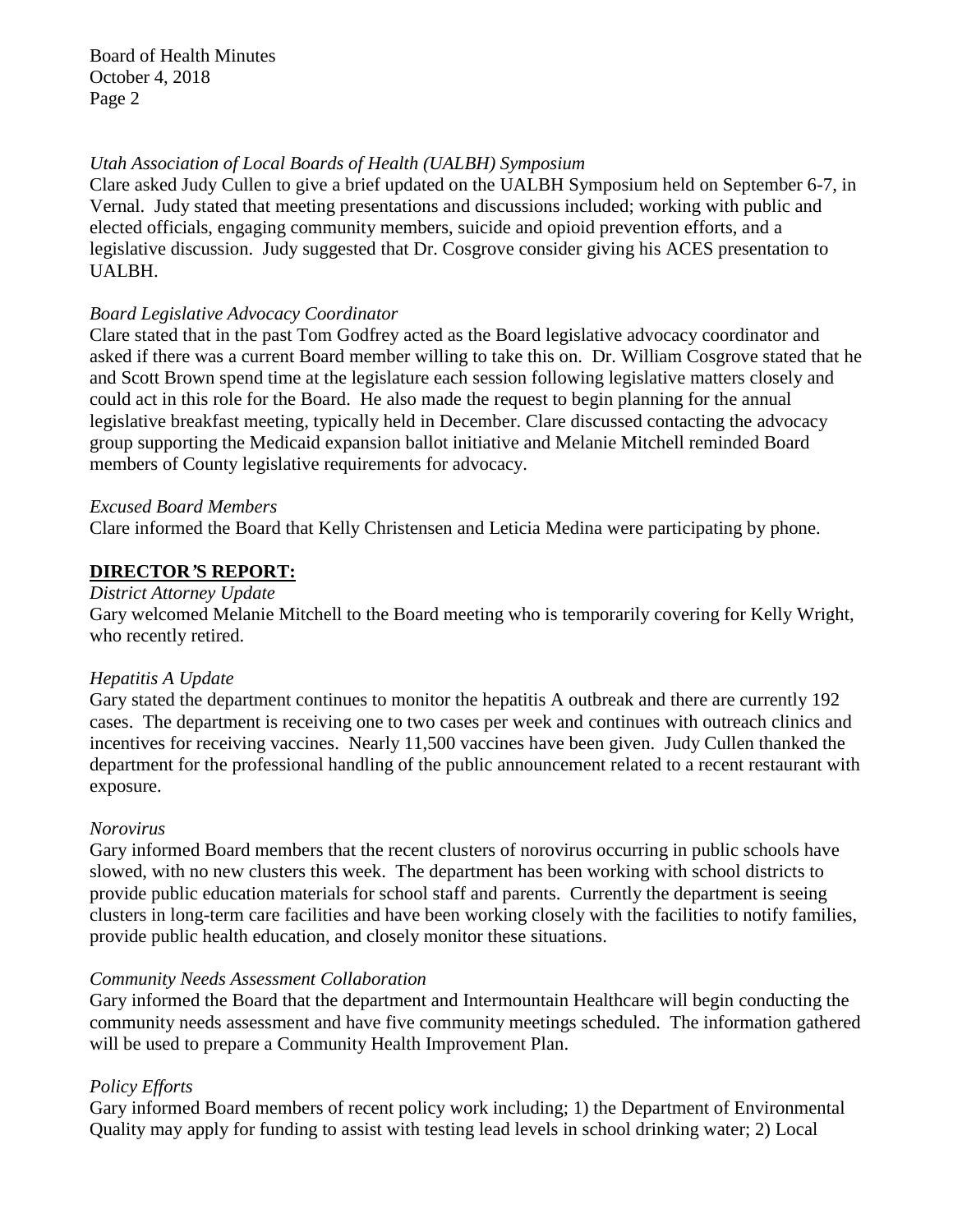Board of Health Minutes October 4, 2018 Page 2

#### *Utah Association of Local Boards of Health (UALBH) Symposium*

Clare asked Judy Cullen to give a brief updated on the UALBH Symposium held on September 6-7, in Vernal. Judy stated that meeting presentations and discussions included; working with public and elected officials, engaging community members, suicide and opioid prevention efforts, and a legislative discussion. Judy suggested that Dr. Cosgrove consider giving his ACES presentation to UALBH.

### *Board Legislative Advocacy Coordinator*

Clare stated that in the past Tom Godfrey acted as the Board legislative advocacy coordinator and asked if there was a current Board member willing to take this on. Dr. William Cosgrove stated that he and Scott Brown spend time at the legislature each session following legislative matters closely and could act in this role for the Board. He also made the request to begin planning for the annual legislative breakfast meeting, typically held in December. Clare discussed contacting the advocacy group supporting the Medicaid expansion ballot initiative and Melanie Mitchell reminded Board members of County legislative requirements for advocacy.

#### *Excused Board Members*

Clare informed the Board that Kelly Christensen and Leticia Medina were participating by phone.

## **DIRECTOR***'***S REPORT:**

### *District Attorney Update*

Gary welcomed Melanie Mitchell to the Board meeting who is temporarily covering for Kelly Wright, who recently retired.

## *Hepatitis A Update*

Gary stated the department continues to monitor the hepatitis A outbreak and there are currently 192 cases. The department is receiving one to two cases per week and continues with outreach clinics and incentives for receiving vaccines. Nearly 11,500 vaccines have been given. Judy Cullen thanked the department for the professional handling of the public announcement related to a recent restaurant with exposure.

## *Norovirus*

Gary informed Board members that the recent clusters of norovirus occurring in public schools have slowed, with no new clusters this week. The department has been working with school districts to provide public education materials for school staff and parents. Currently the department is seeing clusters in long-term care facilities and have been working closely with the facilities to notify families, provide public health education, and closely monitor these situations.

## *Community Needs Assessment Collaboration*

Gary informed the Board that the department and Intermountain Healthcare will begin conducting the community needs assessment and have five community meetings scheduled. The information gathered will be used to prepare a Community Health Improvement Plan.

## *Policy Efforts*

Gary informed Board members of recent policy work including; 1) the Department of Environmental Quality may apply for funding to assist with testing lead levels in school drinking water; 2) Local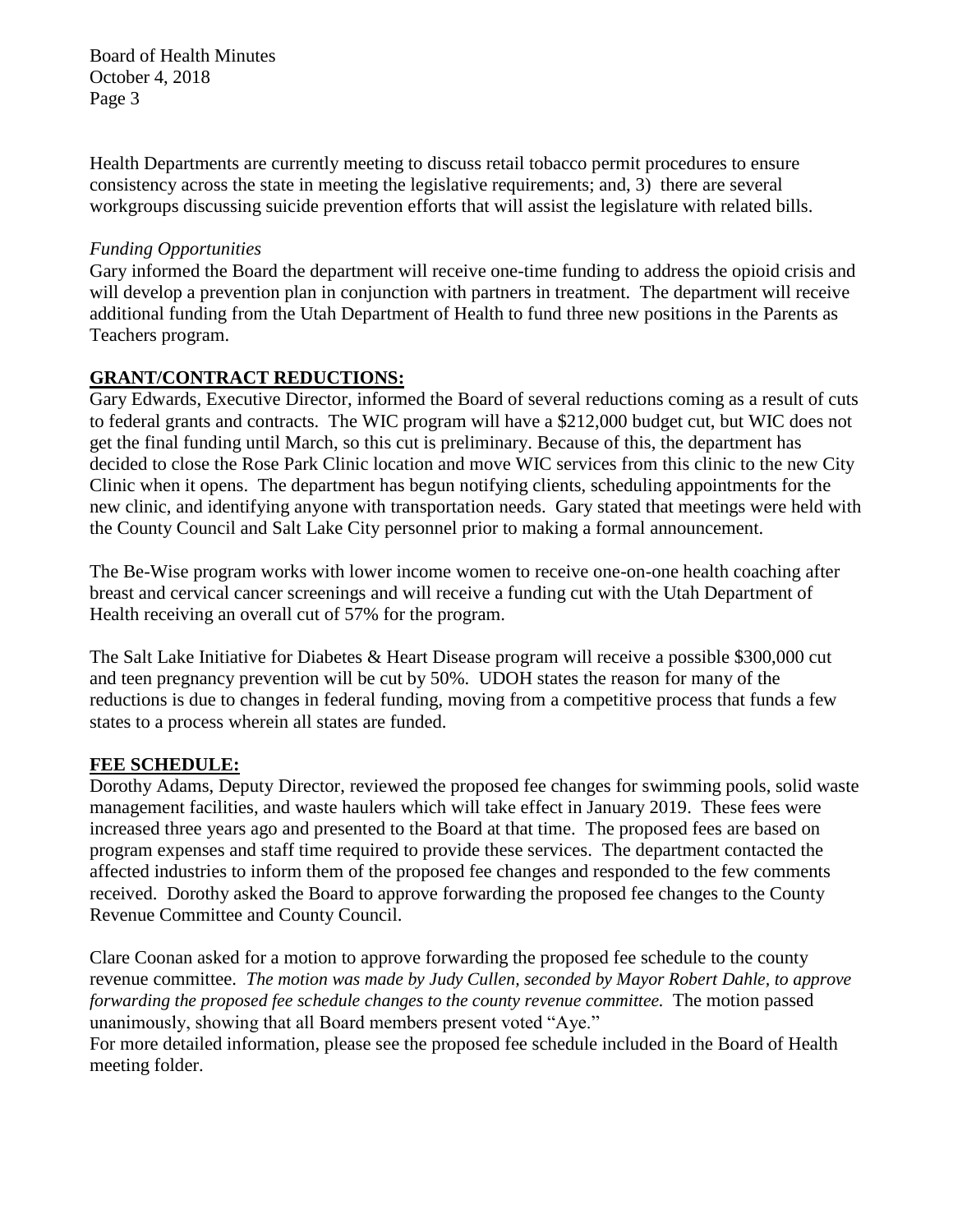Board of Health Minutes October 4, 2018 Page 3

Health Departments are currently meeting to discuss retail tobacco permit procedures to ensure consistency across the state in meeting the legislative requirements; and, 3) there are several workgroups discussing suicide prevention efforts that will assist the legislature with related bills.

#### *Funding Opportunities*

Gary informed the Board the department will receive one-time funding to address the opioid crisis and will develop a prevention plan in conjunction with partners in treatment. The department will receive additional funding from the Utah Department of Health to fund three new positions in the Parents as Teachers program.

## **GRANT/CONTRACT REDUCTIONS:**

Gary Edwards, Executive Director, informed the Board of several reductions coming as a result of cuts to federal grants and contracts. The WIC program will have a \$212,000 budget cut, but WIC does not get the final funding until March, so this cut is preliminary. Because of this, the department has decided to close the Rose Park Clinic location and move WIC services from this clinic to the new City Clinic when it opens. The department has begun notifying clients, scheduling appointments for the new clinic, and identifying anyone with transportation needs. Gary stated that meetings were held with the County Council and Salt Lake City personnel prior to making a formal announcement.

The Be-Wise program works with lower income women to receive one-on-one health coaching after breast and cervical cancer screenings and will receive a funding cut with the Utah Department of Health receiving an overall cut of 57% for the program.

The Salt Lake Initiative for Diabetes & Heart Disease program will receive a possible \$300,000 cut and teen pregnancy prevention will be cut by 50%. UDOH states the reason for many of the reductions is due to changes in federal funding, moving from a competitive process that funds a few states to a process wherein all states are funded.

## **FEE SCHEDULE:**

Dorothy Adams, Deputy Director, reviewed the proposed fee changes for swimming pools, solid waste management facilities, and waste haulers which will take effect in January 2019. These fees were increased three years ago and presented to the Board at that time. The proposed fees are based on program expenses and staff time required to provide these services. The department contacted the affected industries to inform them of the proposed fee changes and responded to the few comments received. Dorothy asked the Board to approve forwarding the proposed fee changes to the County Revenue Committee and County Council.

Clare Coonan asked for a motion to approve forwarding the proposed fee schedule to the county revenue committee. *The motion was made by Judy Cullen, seconded by Mayor Robert Dahle, to approve forwarding the proposed fee schedule changes to the county revenue committee.* The motion passed unanimously, showing that all Board members present voted "Aye."

For more detailed information, please see the proposed fee schedule included in the Board of Health meeting folder.